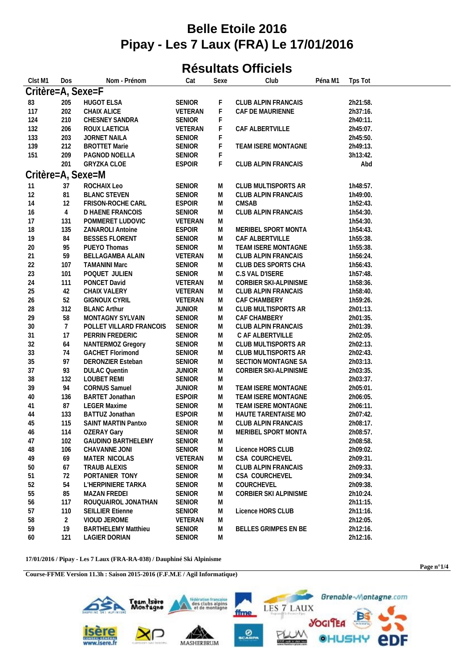## **Belle Etoile 2016 Pipay - Les 7 Laux (FRA) Le 17/01/2016**

## **Résultats Officiels**

| Clst M1           | Dos             | Nom - Prénom               | Cat           | Sexe | Club                  | Péna M1 | Tps Tot  |
|-------------------|-----------------|----------------------------|---------------|------|-----------------------|---------|----------|
| Critère=A, Sexe=F |                 |                            |               |      |                       |         |          |
| 83                | 205             | <b>HUGOT ELSA</b>          | <b>SENIOR</b> | F    | CLUB ALPIN FRANCAIS   |         | 2h21:58. |
| 117               | 202             | CHAIX ALICE                | VETERAN       | F    | CAF DE MAURIENNE      |         | 2h37:16. |
| 124               | 210             | CHESNEY SANDRA             | <b>SENIOR</b> | F    |                       |         | 2h40:11. |
| 132               | 206             | ROUX LAETICIA              | VETERAN       | F    | CAF ALBERTVILLE       |         | 2h45:07. |
| 133               | 203             | JORNET NAILA               | <b>SENIOR</b> | F    |                       |         | 2h45:50. |
| 139               | 212             | <b>BROTTET Marie</b>       | <b>SENIOR</b> | F    | TEAM ISERE MONTAGNE   |         | 2h49:13. |
| 151               | 209             | PAGNOD NOELLA              | <b>SENIOR</b> | F    |                       |         | 3h13:42. |
|                   | 201             | GRYZKA CLOE                | <b>ESPOIR</b> | F    | CLUB ALPIN FRANCAIS   |         | Abd      |
| Critère=A, Sexe=M |                 |                            |               |      |                       |         |          |
|                   |                 |                            |               |      |                       |         |          |
| 11                | 37              | ROCHAIX Leo                | <b>SENIOR</b> | M    | CLUB MULTISPORTS AR   |         | 1h48:57. |
| 12                | 81              | <b>BLANC STEVEN</b>        | <b>SENIOR</b> | M    | CLUB ALPIN FRANCAIS   |         | 1h49:00. |
| 14                | 12              | FRISON-ROCHE CARL          | <b>ESPOIR</b> | M    | <b>CMSAB</b>          |         | 1h52:43. |
| 16                | $\overline{4}$  | D HAENE FRANCOIS           | <b>SENIOR</b> | M    | CLUB ALPIN FRANCAIS   |         | 1h54:30. |
| 17                | 131             | POMMERET LUDOVIC           | VETERAN       | M    |                       |         | 1h54:30. |
| 18                | 135             | <b>ZANAROLI Antoine</b>    | <b>ESPOIR</b> | M    | MERIBEL SPORT MONTA   |         | 1h54:43. |
| 19                | 84              | <b>BESSES FLORENT</b>      | <b>SENIOR</b> | M    | CAF ALBERTVILLE       |         | 1h55:38. |
| 20                | 95              | PUEYO Thomas               | <b>SENIOR</b> | M    | TEAM ISERE MONTAGNE   |         | 1h55:38. |
| 21                | 59              | BELLAGAMBA ALAIN           | VETERAN       | M    | CLUB ALPIN FRANCAIS   |         | 1h56:24. |
| 22                | 107             | <b>TAMANINI Marc</b>       | <b>SENIOR</b> | M    | CLUB DES SPORTS CHA   |         | 1h56:43. |
| 23                | 101             | POQUET JULIEN              | <b>SENIOR</b> | M    | C.S VAL D'ISERE       |         | 1h57:48. |
| 24                | 111             | PONCET David               | VETERAN       | M    | CORBIER SKI-ALPINISME |         | 1h58:36. |
| 25                | 42              | CHAIX VALERY               | VETERAN       | M    | CLUB ALPIN FRANCAIS   |         | 1h58:40. |
| 26                | 52              | <b>GIGNOUX CYRIL</b>       | VETERAN       | M    | CAF CHAMBERY          |         | 1h59:26. |
| 28                | 312             | <b>BLANC Arthur</b>        | <b>JUNIOR</b> | M    | CLUB MULTISPORTS AR   |         | 2h01:13. |
| 29                | 58              | MONTAGNY SYLVAIN           | <b>SENIOR</b> | M    | CAF CHAMBERY          |         | 2h01:35. |
| 30                | $7\overline{ }$ | POLLET VILLARD FRANCOIS    | <b>SENIOR</b> | M    | CLUB ALPIN FRANCAIS   |         | 2h01:39. |
| 31                | 17              | PERRIN FREDERIC            | <b>SENIOR</b> | M    | C AF ALBERTVILLE      |         | 2h02:05. |
| 32                | 64              | NANTERMOZ Gregory          | <b>SENIOR</b> | M    | CLUB MULTISPORTS AR   |         | 2h02:13. |
| 33                | 74              | <b>GACHET Florimond</b>    | <b>SENIOR</b> | M    | CLUB MULTISPORTS AR   |         | 2h02:43. |
| 35                | 97              | <b>DERONZIER Esteban</b>   | <b>SENIOR</b> | M    | SECTION MONTAGNE SA   |         | 2h03:13. |
| 37                | 93              | <b>DULAC Quentin</b>       | <b>JUNIOR</b> | M    | CORBIER SKI-ALPINISME |         | 2h03:35. |
| 38                | 132             | <b>LOUBET REMI</b>         | <b>SENIOR</b> | M    |                       |         | 2h03:37. |
| 39                | 94              | <b>CORNUS Samuel</b>       | <b>JUNIOR</b> | M    | TEAM ISERE MONTAGNE   |         | 2h05:01. |
| 40                | 136             | BARTET Jonathan            | <b>ESPOIR</b> | M    | TEAM ISERE MONTAGNE   |         | 2h06:05. |
| 41                | 87              | <b>LEGER Maxime</b>        | <b>SENIOR</b> | M    | TEAM ISERE MONTAGNE   |         | 2h06:11. |
| 44                | 133             | BATTUZ Jonathan            | <b>ESPOIR</b> | M    | HAUTE TARENTAISE MO   |         | 2h07:42. |
| 45                | 115             | SAINT MARTIN Pantxo        | <b>SENIOR</b> | M    | CLUB ALPIN FRANCAIS   |         | 2h08:17. |
| 46                | 114             | OZERAY Gary                | SENIOR        | M    | MERIBEL SPORT MONTA   |         | 2h08:57. |
| 47                | 102             | <b>GAUDINO BARTHELEMY</b>  | <b>SENIOR</b> | M    |                       |         | 2h08:58. |
|                   |                 | CHAVANNE JONI              | <b>SENIOR</b> | M    | Licence HORS CLUB     |         | 2h09:02. |
| 48                | 106<br>69       | MATER NICOLAS              | VETERAN       |      | CSA COURCHEVEL        |         | 2h09:31. |
| 49                |                 |                            |               | M    |                       |         |          |
| 50                | 67              | <b>TRAUB ALEXIS</b>        | <b>SENIOR</b> | M    | CLUB ALPIN FRANCAIS   |         | 2h09:33. |
| 51                | 72              | PORTANIER TONY             | <b>SENIOR</b> | M    | CSA COURCHEVEL        |         | 2h09:34. |
| 52                | 54              | L'HERPINIERE TARKA         | <b>SENIOR</b> | M    | COURCHEVEL            |         | 2h09:38. |
| 55                | 85              | MAZAN FREDEI               | <b>SENIOR</b> | M    | CORBIER SKI ALPINISME |         | 2h10:24. |
| 56                | 117             | ROUQUAIROL JONATHAN        | <b>SENIOR</b> | M    |                       |         | 2h11:15. |
| 57                | 110             | <b>SEILLIER Etienne</b>    | <b>SENIOR</b> | M    | Licence HORS CLUB     |         | 2h11:16. |
| 58                | 2               | VIOUD JEROME               | VETERAN       | M    |                       |         | 2h12:05. |
| 59                | 19              | <b>BARTHELEMY Matthieu</b> | <b>SENIOR</b> | M    | BELLES GRIMPES EN BE  |         | 2h12:16. |
| 60                | 121             | <b>LAGIER DORIAN</b>       | <b>SENIOR</b> | M    |                       |         | 2h12:16. |
|                   |                 |                            |               |      |                       |         |          |

**17/01/2016 / Pipay - Les 7 Laux (FRA-RA-038) / Dauphiné Ski Alpinisme**

**Course-FFME Version 11.3h : Saison 2015-2016 (F.F.M.E / Agil Informatique)**



**Page n°1/4**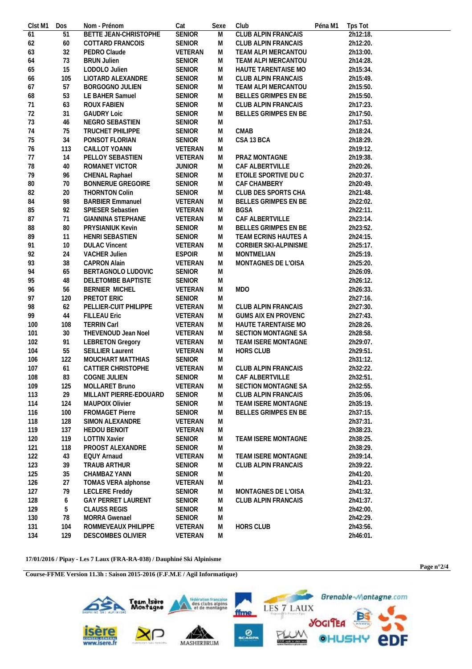| 2h12:18.<br>2h15:34.<br>2h18:24.<br>2h18:29.<br>2h19:12.<br>2h19:38.<br>2h20:37.<br>2h22:02.<br>2h22:11.<br>2h23:14. |
|----------------------------------------------------------------------------------------------------------------------|
|                                                                                                                      |
|                                                                                                                      |
|                                                                                                                      |
|                                                                                                                      |
|                                                                                                                      |
|                                                                                                                      |
|                                                                                                                      |
|                                                                                                                      |
|                                                                                                                      |
|                                                                                                                      |
|                                                                                                                      |
|                                                                                                                      |
|                                                                                                                      |
|                                                                                                                      |
|                                                                                                                      |
|                                                                                                                      |
|                                                                                                                      |
|                                                                                                                      |
|                                                                                                                      |
|                                                                                                                      |
|                                                                                                                      |
|                                                                                                                      |
|                                                                                                                      |
|                                                                                                                      |
| 2h25:17.                                                                                                             |
| 2h25:19.                                                                                                             |
|                                                                                                                      |
| 2h26:09.                                                                                                             |
|                                                                                                                      |
|                                                                                                                      |
|                                                                                                                      |
|                                                                                                                      |
|                                                                                                                      |
| 2h27:43.                                                                                                             |
|                                                                                                                      |
|                                                                                                                      |
|                                                                                                                      |
|                                                                                                                      |
|                                                                                                                      |
|                                                                                                                      |
|                                                                                                                      |
|                                                                                                                      |
|                                                                                                                      |
|                                                                                                                      |
|                                                                                                                      |
|                                                                                                                      |
|                                                                                                                      |
| 2h38:23.                                                                                                             |
|                                                                                                                      |
|                                                                                                                      |
|                                                                                                                      |
|                                                                                                                      |
|                                                                                                                      |
| 2h41:23.                                                                                                             |
|                                                                                                                      |
| 2h41:37.                                                                                                             |
|                                                                                                                      |
|                                                                                                                      |
|                                                                                                                      |
| 2h29:07.<br>2h29:51.                                                                                                 |

## **17/01/2016 / Pipay - Les 7 Laux (FRA-RA-038) / Dauphiné Ski Alpinisme**



**Page n°2/4**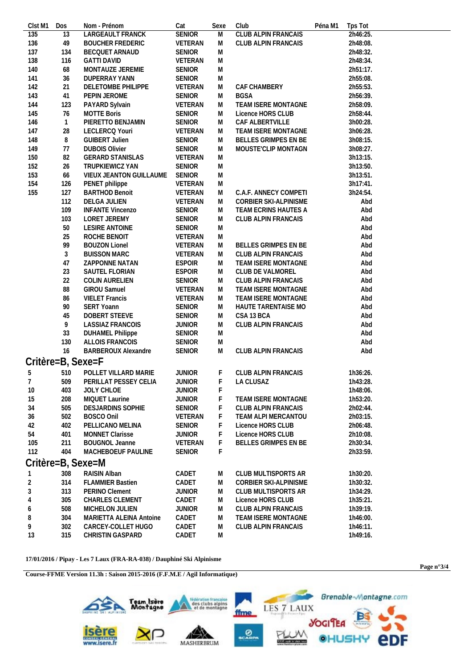| Clst M1        | Dos               | Nom - Prénom             | Cat            | Sexe      | Club                       | Péna M1 | Tps Tot  |
|----------------|-------------------|--------------------------|----------------|-----------|----------------------------|---------|----------|
| 135            | 13                | LARGEAULT FRANCK         | <b>SENIOR</b>  | M         | <b>CLUB ALPIN FRANCAIS</b> |         | 2h46:25. |
| 136            | 49                | <b>BOUCHER FREDERIC</b>  | VETERAN        | M         | CLUB ALPIN FRANCAIS        |         | 2h48:08. |
| 137            | 134               | <b>BECQUET ARNAUD</b>    | <b>SENIOR</b>  | M         |                            |         | 2h48:32. |
| 138            | 116               | <b>GATTI DAVID</b>       | VETERAN        | M         |                            |         | 2h48:34. |
| 140            | 68                | MONTAUZE JEREMIE         | <b>SENIOR</b>  | M         |                            |         | 2h51:17. |
| 141            | 36                | DUPERRAY YANN            | <b>SENIOR</b>  | M         |                            |         | 2h55:08. |
| 142            | 21                | DELETOMBE PHILIPPE       | VETERAN        | ${\sf M}$ | CAF CHAMBERY               |         | 2h55:53. |
| 143            | 41                | PEPIN JEROME             | <b>SENIOR</b>  | M         | <b>BGSA</b>                |         | 2h56:39. |
| 144            | 123               | PAYARD Sylvain           | <b>VETERAN</b> | M         | TEAM ISERE MONTAGNE        |         | 2h58:09. |
| 145            | 76                | <b>MOTTE Boris</b>       | <b>SENIOR</b>  | M         | Licence HORS CLUB          |         | 2h58:44. |
| 146            | $\mathbf{1}$      | PIERETTO BENJAMIN        | <b>SENIOR</b>  | M         | CAF ALBERTVILLE            |         | 3h00:28. |
| 147            | 28                | LECLERCQ Youri           | VETERAN        | M         | TEAM ISERE MONTAGNE        |         | 3h06:28. |
| 148            | 8                 | <b>GUIBERT Julien</b>    | <b>SENIOR</b>  | M         | BELLES GRIMPES EN BE       |         | 3h08:15. |
| 149            | 77                | <b>DUBOIS Olivier</b>    | <b>SENIOR</b>  | M         | MOUSTE'CLIP MONTAGN        |         | 3h08:27. |
| 150            | 82                | <b>GERARD STANISLAS</b>  | VETERAN        | ${\sf M}$ |                            |         | 3h13:15. |
| 152            | 26                | TRUPKIEWICZ YAN          | <b>SENIOR</b>  | ${\sf M}$ |                            |         | 3h13:50. |
| 153            | 66                | VIEUX JEANTON GUILLAUME  | SENIOR         | M         |                            |         | 3h13:51. |
| 154            | 126               | PENET philippe           | VETERAN        | M         |                            |         | 3h17:41. |
| 155            | 127               | <b>BARTHOD Benoit</b>    | VETERAN        | M         | C.A.F. ANNECY COMPETI      |         | 3h24:54. |
|                | 112               | DELGA JULIEN             | <b>VETERAN</b> | M         | CORBIER SKI-ALPINISME      |         | Abd      |
|                | 109               | <b>INFANTE Vincenzo</b>  | <b>SENIOR</b>  | M         | TEAM ECRINS HAUTES A       |         | Abd      |
|                | 103               | LORET JEREMY             | <b>SENIOR</b>  | M         | CLUB ALPIN FRANCAIS        |         | Abd      |
|                | 50                | LESIRE ANTOINE           | <b>SENIOR</b>  | M         |                            |         | Abd      |
|                | 25                | ROCHE BENOIT             | VETERAN        | M         |                            |         | Abd      |
|                | 99                | <b>BOUZON Lionel</b>     | VETERAN        | M         | BELLES GRIMPES EN BE       |         | Abd      |
|                | 3                 | <b>BUISSON MARC</b>      | VETERAN        | M         | CLUB ALPIN FRANCAIS        |         | Abd      |
|                | 47                | ZAPPONNE NATAN           | <b>ESPOIR</b>  | M         | TEAM ISERE MONTAGNE        |         | Abd      |
|                | 23                | SAUTEL FLORIAN           | <b>ESPOIR</b>  | M         | CLUB DE VALMOREL           |         | Abd      |
|                | 22                | COLIN AURELIEN           | <b>SENIOR</b>  | M         | CLUB ALPIN FRANCAIS        |         | Abd      |
|                | 88                | GIROU Samuel             | VETERAN        | M         | TEAM ISERE MONTAGNE        |         | Abd      |
|                | 86                | <b>VIELET Francis</b>    | VETERAN        | M         | TEAM ISERE MONTAGNE        |         | Abd      |
|                | 90                | <b>SERT Yoann</b>        | <b>SENIOR</b>  | M         | HAUTE TARENTAISE MO        |         | Abd      |
|                | 45                | DOBERT STEEVE            | <b>SENIOR</b>  | M         | CSA 13 BCA                 |         | Abd      |
|                | 9                 | <b>LASSIAZ FRANCOIS</b>  | <b>JUNIOR</b>  | M         | CLUB ALPIN FRANCAIS        |         | Abd      |
|                | 33                | <b>DUHAMEL Philippe</b>  | <b>SENIOR</b>  | M         |                            |         | Abd      |
|                | 130               | ALLOIS FRANCOIS          | <b>SENIOR</b>  | M         |                            |         | Abd      |
|                | 16                | BARBEROUX Alexandre      | <b>SENIOR</b>  | M         | <b>CLUB ALPIN FRANCAIS</b> |         | Abd      |
|                |                   |                          |                |           |                            |         |          |
|                | Critère=B, Sexe=F |                          |                |           |                            |         |          |
| 5              | 510               | POLLET VILLARD MARIE     | <b>JUNIOR</b>  | F         | CLUB ALPIN FRANCAIS        |         | 1h36:26. |
| $\overline{7}$ | 509               | PERILLAT PESSEY CELIA    | <b>JUNIOR</b>  | F         | LA CLUSAZ                  |         | 1h43:28. |
| 10             | 403               | JOLY CHLOE               | <b>JUNIOR</b>  | F         |                            |         | 1h48:06. |
| 15             | 208               | MIQUET Laurine           | <b>JUNIOR</b>  | F         | TEAM ISERE MONTAGNE        |         | 1h53:20. |
| 34             | 505               | <b>DESJARDINS SOPHIE</b> | <b>SENIOR</b>  | F         | CLUB ALPIN FRANCAIS        |         | 2h02:44. |
| 36             | 502               | BOSCO Onil               | VETERAN        | F         | TEAM ALPI MERCANTOU        |         | 2h03:15. |
| 42             | 402               | PELLICANO MELINA         | <b>SENIOR</b>  | F         | Licence HORS CLUB          |         | 2h06:48. |
| 54             | 401               | <b>MONNET Clarisse</b>   | <b>JUNIOR</b>  | F         | Licence HORS CLUB          |         | 2h10:08. |
| 105            | 211               | <b>BOUGNOL Jeanne</b>    | VETERAN        | F         | BELLES GRIMPES EN BE       |         | 2h30:34. |
| 112            | 404               | MACHEBOEUF PAULINE       | <b>SENIOR</b>  | F         |                            |         | 2h33:59. |
|                |                   | Critère=B, Sexe=M        |                |           |                            |         |          |
| 1              | 308               | RAISIN Alban             | CADET          | M         | CLUB MULTISPORTS AR        |         | 1h30:20. |
| $\sqrt{2}$     | 314               | <b>FLAMMIER Bastien</b>  | CADET          | M         | CORBIER SKI-ALPINISME      |         | 1h30:32. |
| 3              | 313               | PERINO Clement           | <b>JUNIOR</b>  | M         | CLUB MULTISPORTS AR        |         | 1h34:29. |
| 4              | 305               | CHARLES CLEMENT          | CADET          | M         | Licence HORS CLUB          |         | 1h35:21. |
| 6              | 508               | MICHELON JULIEN          | <b>JUNIOR</b>  | M         | <b>CLUB ALPIN FRANCAIS</b> |         | 1h39:19. |
| 8              | 304               | MARIETTA ALEINA Antoine  | CADET          | M         | TEAM ISERE MONTAGNE        |         | 1h46:00. |
| 9              | 302               | CARCEY-COLLET HUGO       | CADET          | M         | CLUB ALPIN FRANCAIS        |         | 1h46:11. |
| 13             | 315               | CHRISTIN GASPARD         | CADET          | M         |                            |         | 1h49:16. |

 $17/01/2016$ / Pipay - Les 7 Laux (FRA-RA-038) / Dauphiné Ski Alpinisme

Course-FFME Version 11.3h : Saison 2015-2016 (F.F.M.E / Agil Informatique)



Page  $n^{\circ}3/4$